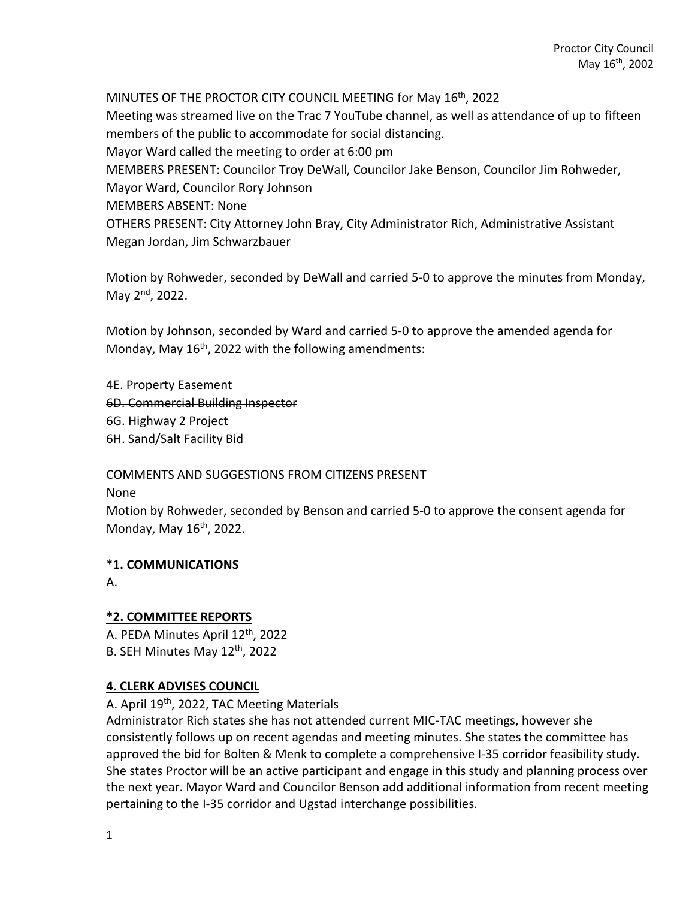MINUTES OF THE PROCTOR CITY COUNCIL MEETING for May 16th, 2022 Meeting was streamed live on the Trac 7 YouTube channel, as well as attendance of up to fifteen members of the public to accommodate for social distancing. Mayor Ward called the meeting to order at 6:00 pm MEMBERS PRESENT: Councilor Troy DeWall, Councilor Jake Benson, Councilor Jim Rohweder, Mayor Ward, Councilor Rory Johnson MEMBERS ABSENT: None OTHERS PRESENT: City Attorney John Bray, City Administrator Rich, Administrative Assistant Megan Jordan, Jim Schwarzbauer

Motion by Rohweder, seconded by DeWall and carried 5-0 to approve the minutes from Monday, May 2<sup>nd</sup>, 2022.

Motion by Johnson, seconded by Ward and carried 5-0 to approve the amended agenda for Monday, May 16<sup>th</sup>, 2022 with the following amendments:

4E. Property Easement 6D. Commercial Building Inspector 6G. Highway 2 Project

6H. Sand/Salt Facility Bid

COMMENTS AND SUGGESTIONS FROM CITIZENS PRESENT

None

Motion by Rohweder, seconded by Benson and carried 5-0 to approve the consent agenda for Monday, May  $16<sup>th</sup>$ , 2022.

# \***1. COMMUNICATIONS**

A.

# **\*2. COMMITTEE REPORTS**

A. PEDA Minutes April 12th, 2022 B. SEH Minutes May 12<sup>th</sup>, 2022

# **4. CLERK ADVISES COUNCIL**

A. April 19<sup>th</sup>, 2022, TAC Meeting Materials

Administrator Rich states she has not attended current MIC-TAC meetings, however she consistently follows up on recent agendas and meeting minutes. She states the committee has approved the bid for Bolten & Menk to complete a comprehensive I-35 corridor feasibility study. She states Proctor will be an active participant and engage in this study and planning process over the next year. Mayor Ward and Councilor Benson add additional information from recent meeting pertaining to the I-35 corridor and Ugstad interchange possibilities.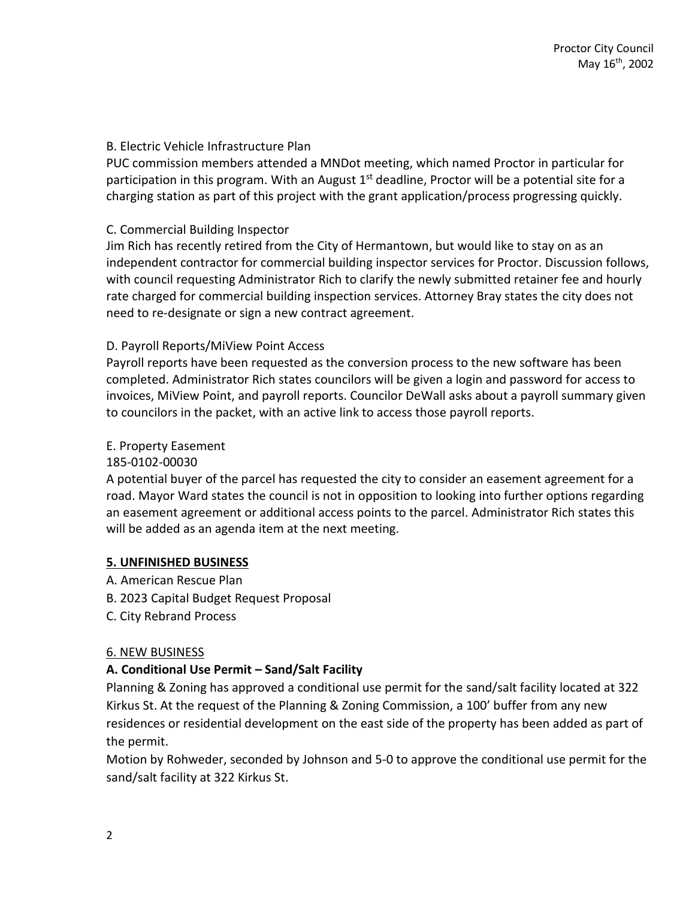# B. Electric Vehicle Infrastructure Plan

PUC commission members attended a MNDot meeting, which named Proctor in particular for participation in this program. With an August  $1<sup>st</sup>$  deadline, Proctor will be a potential site for a charging station as part of this project with the grant application/process progressing quickly.

# C. Commercial Building Inspector

Jim Rich has recently retired from the City of Hermantown, but would like to stay on as an independent contractor for commercial building inspector services for Proctor. Discussion follows, with council requesting Administrator Rich to clarify the newly submitted retainer fee and hourly rate charged for commercial building inspection services. Attorney Bray states the city does not need to re-designate or sign a new contract agreement.

# D. Payroll Reports/MiView Point Access

Payroll reports have been requested as the conversion process to the new software has been completed. Administrator Rich states councilors will be given a login and password for access to invoices, MiView Point, and payroll reports. Councilor DeWall asks about a payroll summary given to councilors in the packet, with an active link to access those payroll reports.

#### E. Property Easement

#### 185-0102-00030

A potential buyer of the parcel has requested the city to consider an easement agreement for a road. Mayor Ward states the council is not in opposition to looking into further options regarding an easement agreement or additional access points to the parcel. Administrator Rich states this will be added as an agenda item at the next meeting.

#### **5. UNFINISHED BUSINESS**

- A. American Rescue Plan
- B. 2023 Capital Budget Request Proposal
- C. City Rebrand Process

#### 6. NEW BUSINESS

# **A. Conditional Use Permit – Sand/Salt Facility**

Planning & Zoning has approved a conditional use permit for the sand/salt facility located at 322 Kirkus St. At the request of the Planning & Zoning Commission, a 100' buffer from any new residences or residential development on the east side of the property has been added as part of the permit.

Motion by Rohweder, seconded by Johnson and 5-0 to approve the conditional use permit for the sand/salt facility at 322 Kirkus St.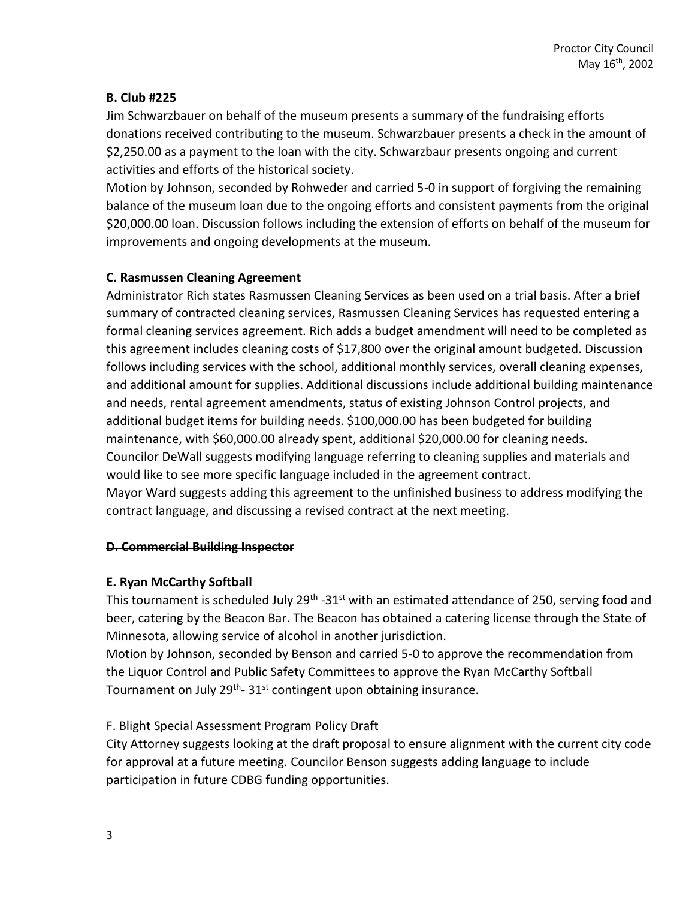# **B. Club #225**

Jim Schwarzbauer on behalf of the museum presents a summary of the fundraising efforts donations received contributing to the museum. Schwarzbauer presents a check in the amount of \$2,250.00 as a payment to the loan with the city. Schwarzbaur presents ongoing and current activities and efforts of the historical society.

Motion by Johnson, seconded by Rohweder and carried 5-0 in support of forgiving the remaining balance of the museum loan due to the ongoing efforts and consistent payments from the original \$20,000.00 loan. Discussion follows including the extension of efforts on behalf of the museum for improvements and ongoing developments at the museum.

# **C. Rasmussen Cleaning Agreement**

Administrator Rich states Rasmussen Cleaning Services as been used on a trial basis. After a brief summary of contracted cleaning services, Rasmussen Cleaning Services has requested entering a formal cleaning services agreement. Rich adds a budget amendment will need to be completed as this agreement includes cleaning costs of \$17,800 over the original amount budgeted. Discussion follows including services with the school, additional monthly services, overall cleaning expenses, and additional amount for supplies. Additional discussions include additional building maintenance and needs, rental agreement amendments, status of existing Johnson Control projects, and additional budget items for building needs. \$100,000.00 has been budgeted for building maintenance, with \$60,000.00 already spent, additional \$20,000.00 for cleaning needs. Councilor DeWall suggests modifying language referring to cleaning supplies and materials and would like to see more specific language included in the agreement contract. Mayor Ward suggests adding this agreement to the unfinished business to address modifying the contract language, and discussing a revised contract at the next meeting.

#### **D. Commercial Building Inspector**

# **E. Ryan McCarthy Softball**

This tournament is scheduled July 29<sup>th</sup> -31<sup>st</sup> with an estimated attendance of 250, serving food and beer, catering by the Beacon Bar. The Beacon has obtained a catering license through the State of Minnesota, allowing service of alcohol in another jurisdiction.

Motion by Johnson, seconded by Benson and carried 5-0 to approve the recommendation from the Liquor Control and Public Safety Committees to approve the Ryan McCarthy Softball Tournament on July 29<sup>th</sup>- 31<sup>st</sup> contingent upon obtaining insurance.

# F. Blight Special Assessment Program Policy Draft

City Attorney suggests looking at the draft proposal to ensure alignment with the current city code for approval at a future meeting. Councilor Benson suggests adding language to include participation in future CDBG funding opportunities.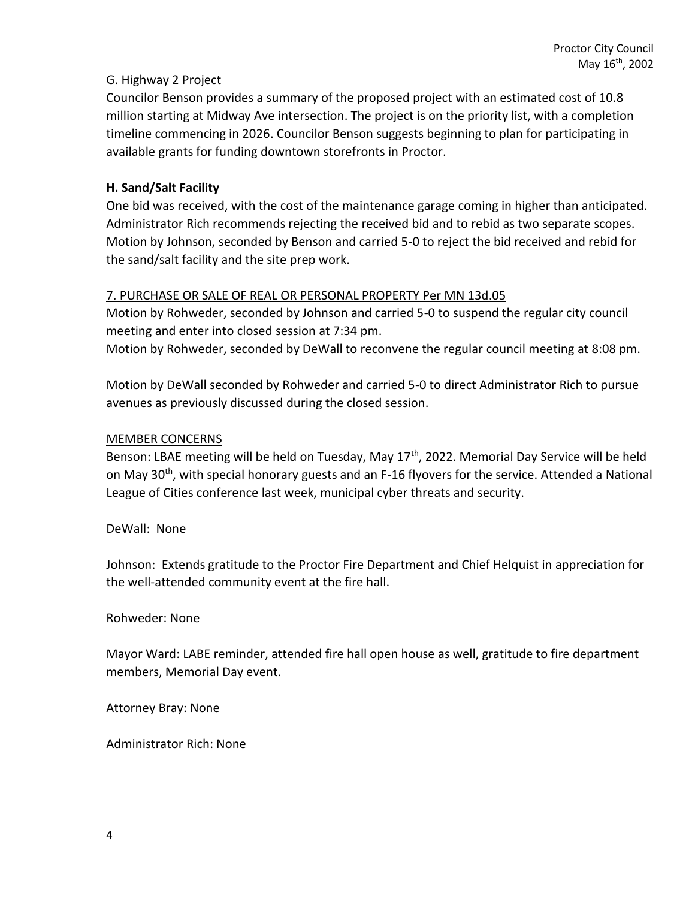# G. Highway 2 Project

Councilor Benson provides a summary of the proposed project with an estimated cost of 10.8 million starting at Midway Ave intersection. The project is on the priority list, with a completion timeline commencing in 2026. Councilor Benson suggests beginning to plan for participating in available grants for funding downtown storefronts in Proctor.

# **H. Sand/Salt Facility**

One bid was received, with the cost of the maintenance garage coming in higher than anticipated. Administrator Rich recommends rejecting the received bid and to rebid as two separate scopes. Motion by Johnson, seconded by Benson and carried 5-0 to reject the bid received and rebid for the sand/salt facility and the site prep work.

# 7. PURCHASE OR SALE OF REAL OR PERSONAL PROPERTY Per MN 13d.05

Motion by Rohweder, seconded by Johnson and carried 5-0 to suspend the regular city council meeting and enter into closed session at 7:34 pm.

Motion by Rohweder, seconded by DeWall to reconvene the regular council meeting at 8:08 pm.

Motion by DeWall seconded by Rohweder and carried 5-0 to direct Administrator Rich to pursue avenues as previously discussed during the closed session.

# MEMBER CONCERNS

Benson: LBAE meeting will be held on Tuesday, May 17<sup>th</sup>, 2022. Memorial Day Service will be held on May 30<sup>th</sup>, with special honorary guests and an F-16 flyovers for the service. Attended a National League of Cities conference last week, municipal cyber threats and security.

DeWall: None

Johnson: Extends gratitude to the Proctor Fire Department and Chief Helquist in appreciation for the well-attended community event at the fire hall.

Rohweder: None

Mayor Ward: LABE reminder, attended fire hall open house as well, gratitude to fire department members, Memorial Day event.

Attorney Bray: None

Administrator Rich: None